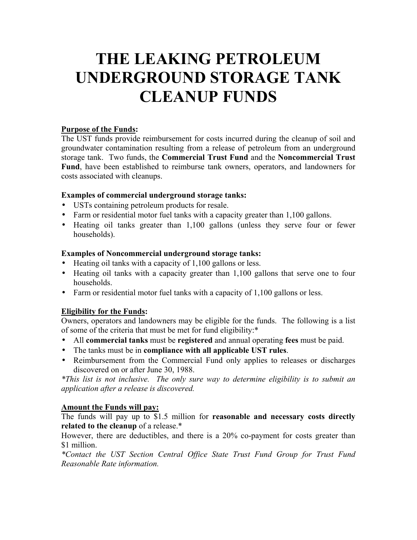# **THE LEAKING PETROLEUM UNDERGROUND STORAGE TANK CLEANUP FUNDS**

### **Purpose of the Funds:**

The UST funds provide reimbursement for costs incurred during the cleanup of soil and groundwater contamination resulting from a release of petroleum from an underground storage tank. Two funds, the **Commercial Trust Fund** and the **Noncommercial Trust Fund**, have been established to reimburse tank owners, operators, and landowners for costs associated with cleanups.

## **Examples of commercial underground storage tanks:**

- USTs containing petroleum products for resale.
- Farm or residential motor fuel tanks with a capacity greater than 1,100 gallons.
- Heating oil tanks greater than 1,100 gallons (unless they serve four or fewer households).

## **Examples of Noncommercial underground storage tanks:**

- Heating oil tanks with a capacity of 1,100 gallons or less.
- Heating oil tanks with a capacity greater than 1,100 gallons that serve one to four households.
- Farm or residential motor fuel tanks with a capacity of 1,100 gallons or less.

# **Eligibility for the Funds:**

Owners, operators and landowners may be eligible for the funds. The following is a list of some of the criteria that must be met for fund eligibility:\*

- All **commercial tanks** must be **registered** and annual operating **fees** must be paid.
- The tanks must be in **compliance with all applicable UST rules**.
- Reimbursement from the Commercial Fund only applies to releases or discharges discovered on or after June 30, 1988.

*\*This list is not inclusive. The only sure way to determine eligibility is to submit an application after a release is discovered.*

# **Amount the Funds will pay:**

The funds will pay up to \$1.5 million for **reasonable and necessary costs directly related to the cleanup** of a release.\*

However, there are deductibles, and there is a 20% co-payment for costs greater than \$1 million.

*\*Contact the UST Section Central Office State Trust Fund Group for Trust Fund Reasonable Rate information.*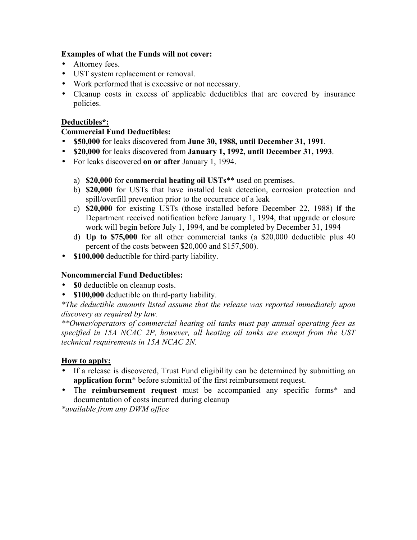#### **Examples of what the Funds will not cover:**

- Attorney fees.
- UST system replacement or removal.
- Work performed that is excessive or not necessary.
- Cleanup costs in excess of applicable deductibles that are covered by insurance policies.

## **Deductibles\*:**

### **Commercial Fund Deductibles:**

- **\$50,000** for leaks discovered from **June 30, 1988, until December 31, 1991**.
- **\$20,000** for leaks discovered from **January 1, 1992, until December 31, 1993**.
- For leaks discovered **on or after** January 1, 1994.
	- a) **\$20,000** for **commercial heating oil USTs**\*\* used on premises.
	- b) **\$20,000** for USTs that have installed leak detection, corrosion protection and spill/overfill prevention prior to the occurrence of a leak
	- c) **\$20,000** for existing USTs (those installed before December 22, 1988) **if** the Department received notification before January 1, 1994, that upgrade or closure work will begin before July 1, 1994, and be completed by December 31, 1994
	- d) **Up to \$75,000** for all other commercial tanks (a \$20,000 deductible plus 40 percent of the costs between \$20,000 and \$157,500).
- **\$100,000** deductible for third-party liability.

#### **Noncommercial Fund Deductibles:**

- **\$0** deductible on cleanup costs.
- **\$100,000** deductible on third-party liability.

*\*The deductible amounts listed assume that the release was reported immediately upon discovery as required by law.*

*\*\*Owner/operators of commercial heating oil tanks must pay annual operating fees as specified in 15A NCAC 2P, however, all heating oil tanks are exempt from the UST technical requirements in 15A NCAC 2N.*

#### **How to apply:**

- If a release is discovered, Trust Fund eligibility can be determined by submitting an **application form**\* before submittal of the first reimbursement request.
- The **reimbursement request** must be accompanied any specific forms\* and documentation of costs incurred during cleanup

*\*available from any DWM office*